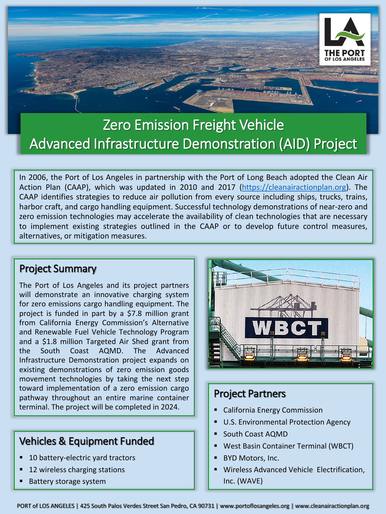

# Zero Emission Freight Vehicle Advanced Infrastructure Demonstration (AID) Project

In 2006, the Port of Los Angeles in partnership with the Port of Long Beach adopted the Clean Air Action Plan (CAAP), which was updated in 2010 and 2017 [\(https://cleanairactionplan.org](https://cleanairactionplan.org/)). The CAAP identifies strategies to reduce air pollution from every source including ships, trucks, trains, harbor craft, and cargo handling equipment. Successful technology demonstrations of near-zero and zero emission technologies may accelerate the availability of clean technologies that are necessary to implement existing strategies outlined in the CAAP or to develop future control measures, alternatives, or mitigation measures.

### Project Summary

The Port of Los Angeles and its project partners will demonstrate an innovative charging system for zero emissions cargo handling equipment. The project is funded in part by a \$7.8 million grant from California Energy Commission's Alternative and Renewable Fuel Vehicle Technology Program and a \$1.8 million Targeted Air Shed grant from the South Coast AQMD. The Advanced Infrastructure Demonstration project expands on existing demonstrations of zero emission goods movement technologies by taking the next step toward implementation of a zero emission cargo pathway throughout an entire marine container terminal. The project will be completed in 2024.

# Vehicles & Equipment Funded

- 10 battery-electric yard tractors
- 12 wireless charging stations
- **Battery storage system**



## Project Partners

- California Energy Commission
- U.S. Environmental Protection Agency
- South Coast AQMD
- West Basin Container Terminal (WBCT)
- **BYD Motors, Inc.**
- Wireless Advanced Vehicle Electrification, Inc. (WAVE)

PORT of LOS ANGELES | 425 South Palos Verdes Street San Pedro, CA 90731 | www.portoflosangeles.org | www.cleanairactionplan.org